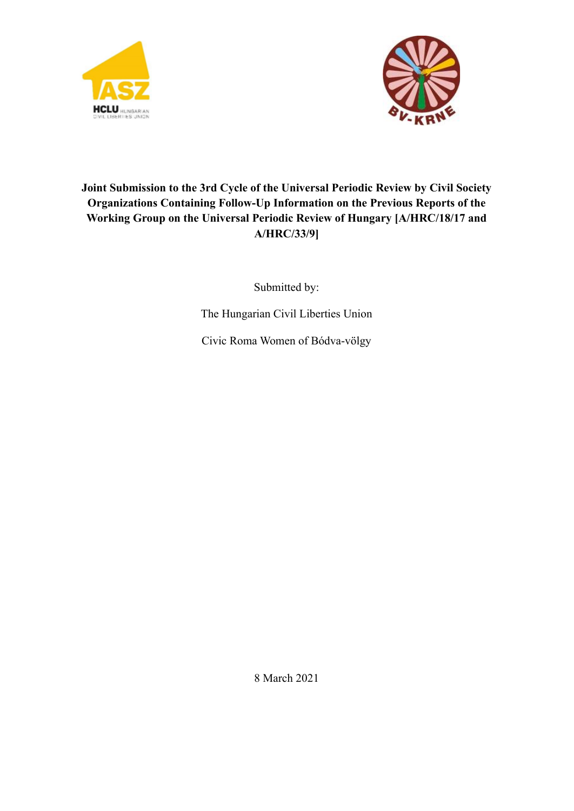



# **Joint Submission to the 3rd Cycle of the Universal Periodic Review by Civil Society Organizations Containing Follow-Up Information on the Previous Reports of the Working Group on the Universal Periodic Review of Hungary [A/HRC/18/17 and A/HRC/33/9]**

Submitted by:

The Hungarian Civil Liberties Union

Civic Roma Women of Bódva-völgy

8 March 2021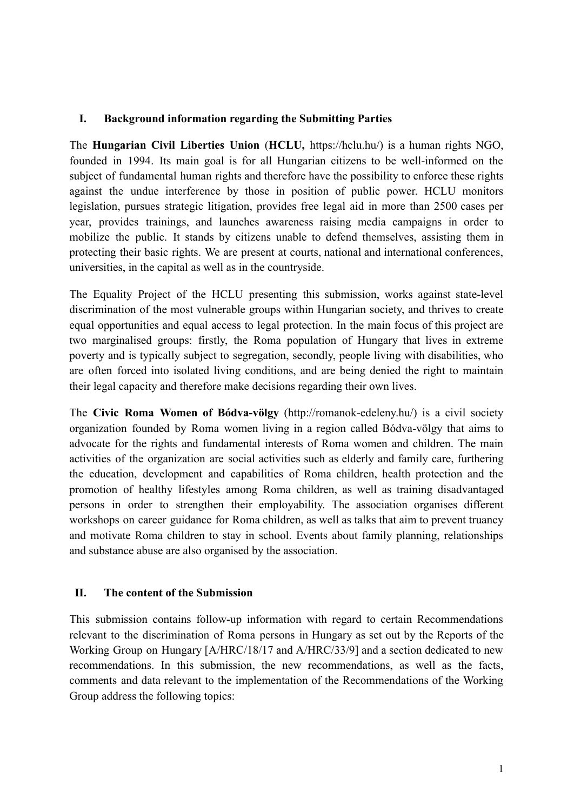### **I. Background information regarding the Submitting Parties**

The **Hungarian Civil Liberties Union** (**HCLU,** https://hclu.hu/) is a human rights NGO, founded in 1994. Its main goal is for all Hungarian citizens to be well-informed on the subject of fundamental human rights and therefore have the possibility to enforce these rights against the undue interference by those in position of public power. HCLU monitors legislation, pursues strategic litigation, provides free legal aid in more than 2500 cases per year, provides trainings, and launches awareness raising media campaigns in order to mobilize the public. It stands by citizens unable to defend themselves, assisting them in protecting their basic rights. We are present at courts, national and international conferences, universities, in the capital as well as in the countryside.

The Equality Project of the HCLU presenting this submission, works against state-level discrimination of the most vulnerable groups within Hungarian society, and thrives to create equal opportunities and equal access to legal protection. In the main focus of this project are two marginalised groups: firstly, the Roma population of Hungary that lives in extreme poverty and is typically subject to segregation, secondly, people living with disabilities, who are often forced into isolated living conditions, and are being denied the right to maintain their legal capacity and therefore make decisions regarding their own lives.

The **Civic Roma Women of Bódva-völgy** (http://romanok-edeleny.hu/) is a civil society organization founded by Roma women living in a region called Bódva-völgy that aims to advocate for the rights and fundamental interests of Roma women and children. The main activities of the organization are social activities such as elderly and family care, furthering the education, development and capabilities of Roma children, health protection and the promotion of healthy lifestyles among Roma children, as well as training disadvantaged persons in order to strengthen their employability. The association organises different workshops on career guidance for Roma children, as well as talks that aim to prevent truancy and motivate Roma children to stay in school. Events about family planning, relationships and substance abuse are also organised by the association.

#### **II. The content of the Submission**

This submission contains follow-up information with regard to certain Recommendations relevant to the discrimination of Roma persons in Hungary as set out by the Reports of the Working Group on Hungary [A/HRC/18/17 and A/HRC/33/9] and a section dedicated to new recommendations. In this submission, the new recommendations, as well as the facts, comments and data relevant to the implementation of the Recommendations of the Working Group address the following topics: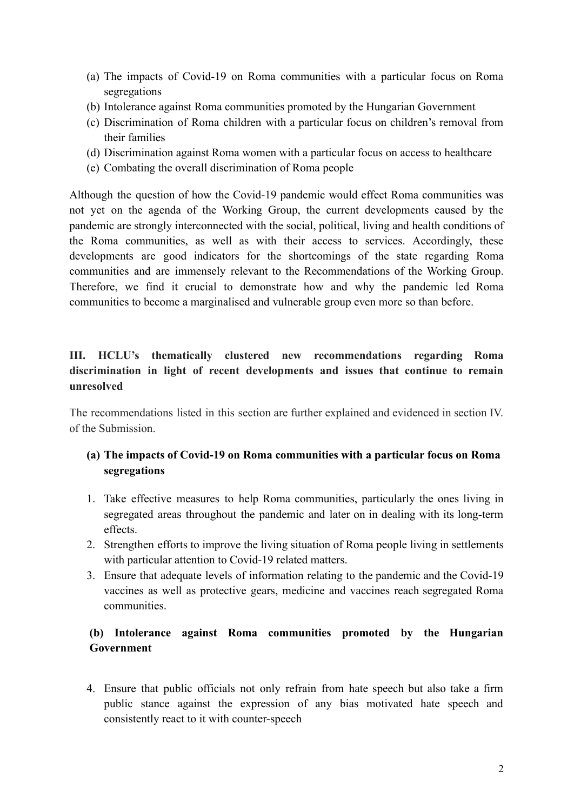- (a) The impacts of Covid-19 on Roma communities with a particular focus on Roma segregations
- (b) Intolerance against Roma communities promoted by the Hungarian Government
- (c) Discrimination of Roma children with a particular focus on children's removal from their families
- (d) Discrimination against Roma women with a particular focus on access to healthcare
- (e) Combating the overall discrimination of Roma people

Although the question of how the Covid-19 pandemic would effect Roma communities was not yet on the agenda of the Working Group, the current developments caused by the pandemic are strongly interconnected with the social, political, living and health conditions of the Roma communities, as well as with their access to services. Accordingly, these developments are good indicators for the shortcomings of the state regarding Roma communities and are immensely relevant to the Recommendations of the Working Group. Therefore, we find it crucial to demonstrate how and why the pandemic led Roma communities to become a marginalised and vulnerable group even more so than before.

## **III. HCLU's thematically clustered new recommendations regarding Roma discrimination in light of recent developments and issues that continue to remain unresolved**

The recommendations listed in this section are further explained and evidenced in section IV. of the Submission.

## **(a) The impacts of Covid-19 on Roma communities with a particular focus on Roma segregations**

- 1. Take effective measures to help Roma communities, particularly the ones living in segregated areas throughout the pandemic and later on in dealing with its long-term effects.
- 2. Strengthen efforts to improve the living situation of Roma people living in settlements with particular attention to Covid-19 related matters.
- 3. Ensure that adequate levels of information relating to the pandemic and the Covid-19 vaccines as well as protective gears, medicine and vaccines reach segregated Roma communities.

## **(b) Intolerance against Roma communities promoted by the Hungarian Government**

4. Ensure that public officials not only refrain from hate speech but also take a firm public stance against the expression of any bias motivated hate speech and consistently react to it with counter-speech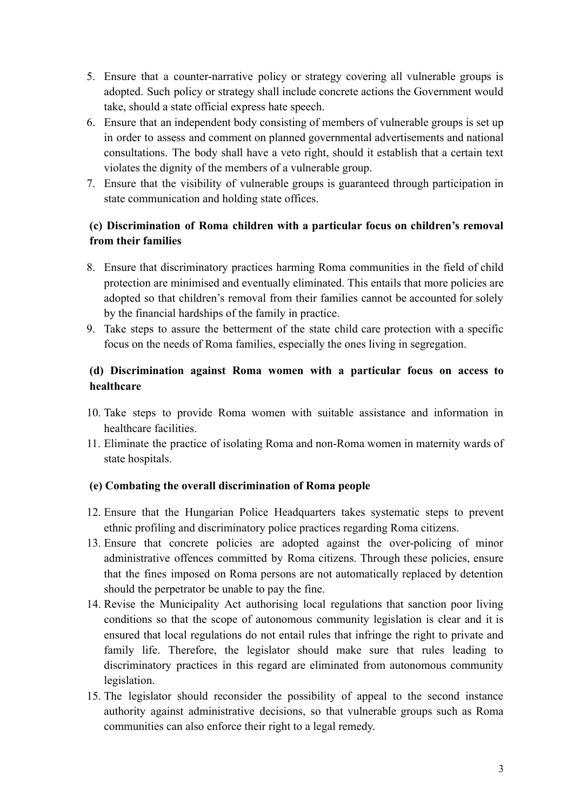- 5. Ensure that a counter-narrative policy or strategy covering all vulnerable groups is adopted. Such policy or strategy shall include concrete actions the Government would take, should a state official express hate speech.
- 6. Ensure that an independent body consisting of members of vulnerable groups is set up in order to assess and comment on planned governmental advertisements and national consultations. The body shall have a veto right, should it establish that a certain text violates the dignity of the members of a vulnerable group.
- 7. Ensure that the visibility of vulnerable groups is guaranteed through participation in state communication and holding state offices.

## **(c) Discrimination of Roma children with a particular focus on children's removal from their families**

- 8. Ensure that discriminatory practices harming Roma communities in the field of child protection are minimised and eventually eliminated. This entails that more policies are adopted so that children's removal from their families cannot be accounted for solely by the financial hardships of the family in practice.
- 9. Take steps to assure the betterment of the state child care protection with a specific focus on the needs of Roma families, especially the ones living in segregation.

## **(d) Discrimination against Roma women with a particular focus on access to healthcare**

- 10. Take steps to provide Roma women with suitable assistance and information in healthcare facilities.
- 11. Eliminate the practice of isolating Roma and non-Roma women in maternity wards of state hospitals.

## **(e) Combating the overall discrimination of Roma people**

- 12. Ensure that the Hungarian Police Headquarters takes systematic steps to prevent ethnic profiling and discriminatory police practices regarding Roma citizens.
- 13. Ensure that concrete policies are adopted against the over-policing of minor administrative offences committed by Roma citizens. Through these policies, ensure that the fines imposed on Roma persons are not automatically replaced by detention should the perpetrator be unable to pay the fine.
- 14. Revise the Municipality Act authorising local regulations that sanction poor living conditions so that the scope of autonomous community legislation is clear and it is ensured that local regulations do not entail rules that infringe the right to private and family life. Therefore, the legislator should make sure that rules leading to discriminatory practices in this regard are eliminated from autonomous community legislation.
- 15. The legislator should reconsider the possibility of appeal to the second instance authority against administrative decisions, so that vulnerable groups such as Roma communities can also enforce their right to a legal remedy.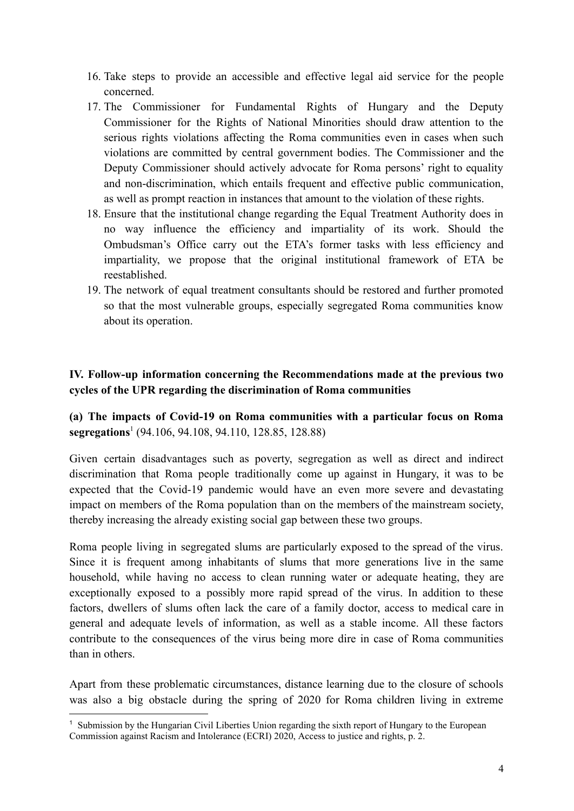- 16. Take steps to provide an accessible and effective legal aid service for the people concerned.
- 17. The Commissioner for Fundamental Rights of Hungary and the Deputy Commissioner for the Rights of National Minorities should draw attention to the serious rights violations affecting the Roma communities even in cases when such violations are committed by central government bodies. The Commissioner and the Deputy Commissioner should actively advocate for Roma persons' right to equality and non-discrimination, which entails frequent and effective public communication, as well as prompt reaction in instances that amount to the violation of these rights.
- 18. Ensure that the institutional change regarding the Equal Treatment Authority does in no way influence the efficiency and impartiality of its work. Should the Ombudsman's Office carry out the ETA's former tasks with less efficiency and impartiality, we propose that the original institutional framework of ETA be reestablished.
- 19. The network of equal treatment consultants should be restored and further promoted so that the most vulnerable groups, especially segregated Roma communities know about its operation.

## **IV. Follow-up information concerning the Recommendations made at the previous two cycles of the UPR regarding the discrimination of Roma communities**

**(a) The impacts of Covid-19 on Roma communities with a particular focus on Roma segregations**<sup>1</sup> (94.106, 94.108, 94.110, 128.85, 128.88)

Given certain disadvantages such as poverty, segregation as well as direct and indirect discrimination that Roma people traditionally come up against in Hungary, it was to be expected that the Covid-19 pandemic would have an even more severe and devastating impact on members of the Roma population than on the members of the mainstream society, thereby increasing the already existing social gap between these two groups.

Roma people living in segregated slums are particularly exposed to the spread of the virus. Since it is frequent among inhabitants of slums that more generations live in the same household, while having no access to clean running water or adequate heating, they are exceptionally exposed to a possibly more rapid spread of the virus. In addition to these factors, dwellers of slums often lack the care of a family doctor, access to medical care in general and adequate levels of information, as well as a stable income. All these factors contribute to the consequences of the virus being more dire in case of Roma communities than in others.

Apart from these problematic circumstances, distance learning due to the closure of schools was also a big obstacle during the spring of 2020 for Roma children living in extreme

<sup>1</sup> Submission by the Hungarian Civil Liberties Union regarding the sixth report of Hungary to the European Commission against Racism and Intolerance (ECRI) 2020, Access to justice and rights, p. 2.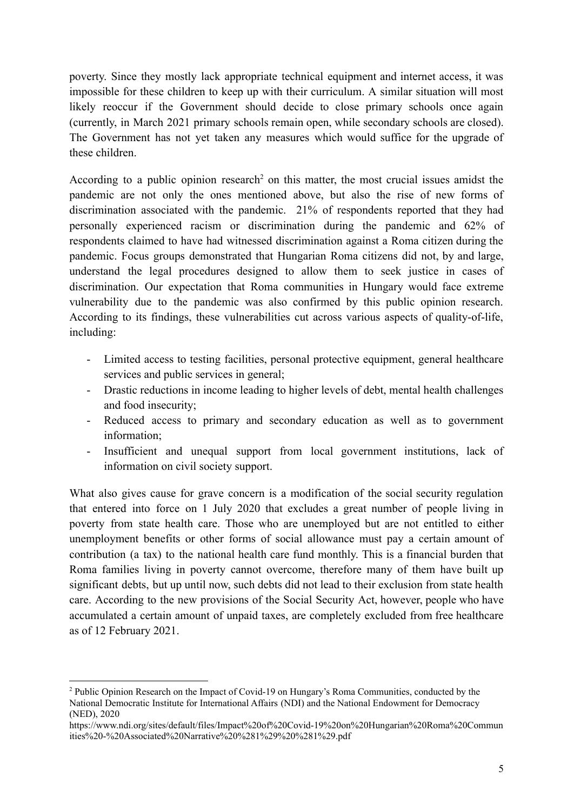poverty. Since they mostly lack appropriate technical equipment and internet access, it was impossible for these children to keep up with their curriculum. A similar situation will most likely reoccur if the Government should decide to close primary schools once again (currently, in March 2021 primary schools remain open, while secondary schools are closed). The Government has not yet taken any measures which would suffice for the upgrade of these children.

According to a public opinion research<sup>2</sup> on this matter, the most crucial issues amidst the pandemic are not only the ones mentioned above, but also the rise of new forms of discrimination associated with the pandemic. 21% of respondents reported that they had personally experienced racism or discrimination during the pandemic and 62% of respondents claimed to have had witnessed discrimination against a Roma citizen during the pandemic. Focus groups demonstrated that Hungarian Roma citizens did not, by and large, understand the legal procedures designed to allow them to seek justice in cases of discrimination. Our expectation that Roma communities in Hungary would face extreme vulnerability due to the pandemic was also confirmed by this public opinion research. According to its findings, these vulnerabilities cut across various aspects of quality-of-life, including:

- Limited access to testing facilities, personal protective equipment, general healthcare services and public services in general;
- Drastic reductions in income leading to higher levels of debt, mental health challenges and food insecurity;
- Reduced access to primary and secondary education as well as to government information;
- Insufficient and unequal support from local government institutions, lack of information on civil society support.

What also gives cause for grave concern is a modification of the social security regulation that entered into force on 1 July 2020 that excludes a great number of people living in poverty from state health care. Those who are unemployed but are not entitled to either unemployment benefits or other forms of social allowance must pay a certain amount of contribution (a tax) to the national health care fund monthly. This is a financial burden that Roma families living in poverty cannot overcome, therefore many of them have built up significant debts, but up until now, such debts did not lead to their exclusion from state health care. According to the new provisions of the Social Security Act, however, people who have accumulated a certain amount of unpaid taxes, are completely excluded from free healthcare as of 12 February 2021.

<sup>2</sup> Public Opinion Research on the Impact of Covid-19 on Hungary's Roma Communities, conducted by the National Democratic Institute for International Affairs (NDI) and the National Endowment for Democracy (NED), 2020

https://www.ndi.org/sites/default/files/Impact%20of%20Covid-19%20on%20Hungarian%20Roma%20Commun ities%20-%20Associated%20Narrative%20%281%29%20%281%29.pdf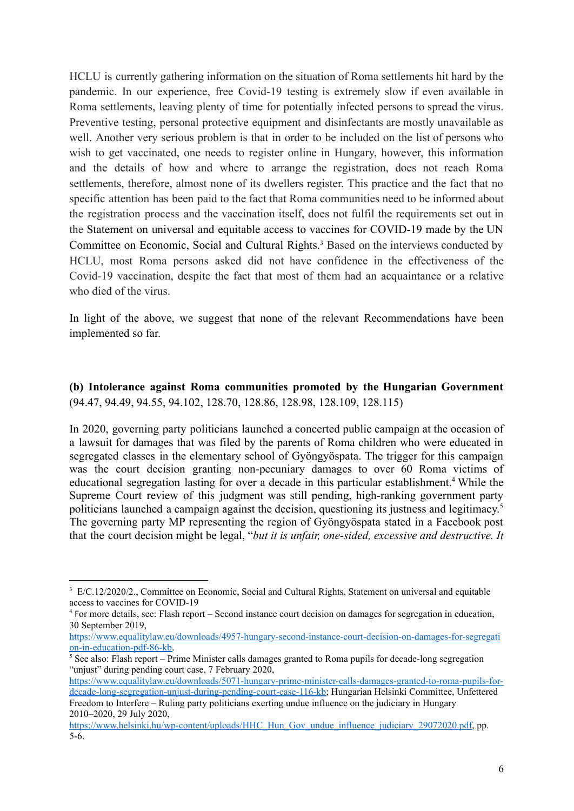HCLU is currently gathering information on the situation of Roma settlements hit hard by the pandemic. In our experience, free Covid-19 testing is extremely slow if even available in Roma settlements, leaving plenty of time for potentially infected persons to spread the virus. Preventive testing, personal protective equipment and disinfectants are mostly unavailable as well. Another very serious problem is that in order to be included on the list of persons who wish to get vaccinated, one needs to register online in Hungary, however, this information and the details of how and where to arrange the registration, does not reach Roma settlements, therefore, almost none of its dwellers register. This practice and the fact that no specific attention has been paid to the fact that Roma communities need to be informed about the registration process and the vaccination itself, does not fulfil the requirements set out in the Statement on universal and equitable access to vaccines for COVID-19 made by the UN Committee on Economic, Social and Cultural Rights.<sup>3</sup> Based on the interviews conducted by HCLU, most Roma persons asked did not have confidence in the effectiveness of the Covid-19 vaccination, despite the fact that most of them had an acquaintance or a relative who died of the virus.

In light of the above, we suggest that none of the relevant Recommendations have been implemented so far.

#### **(b) Intolerance against Roma communities promoted by the Hungarian Government** (94.47, 94.49, 94.55, 94.102, 128.70, 128.86, 128.98, 128.109, 128.115)

In 2020, governing party politicians launched a concerted public campaign at the occasion of a lawsuit for damages that was filed by the parents of Roma children who were educated in segregated classes in the elementary school of Gyöngyöspata. The trigger for this campaign was the court decision granting non-pecuniary damages to over 60 Roma victims of educational segregation lasting for over a decade in this particular establishment.<sup>4</sup> While the Supreme Court review of this judgment was still pending, high-ranking government party politicians launched a campaign against the decision, questioning its justness and legitimacy. 5 The governing party MP representing the region of Gyöngyöspata stated in a Facebook post that the court decision might be legal, "*but it is unfair, one-sided, excessive and destructive. It*

<sup>&</sup>lt;sup>3</sup> E/C.12/2020/2., Committee on Economic, Social and Cultural Rights, Statement on universal and equitable access to vaccines for COVID-19

<sup>4</sup> For more details, see: Flash report – Second instance court decision on damages for segregation in education, 30 September 2019,

[https://www.equalitylaw.eu/downloads/4957-hungary-second-instance-court-decision-on-damages-for-segregati](https://www.equalitylaw.eu/downloads/4957-hungary-second-instance-court-decision-on-damages-for-segregation-in-education-pdf-86-kb) [on-in-education-pdf-86-kb.](https://www.equalitylaw.eu/downloads/4957-hungary-second-instance-court-decision-on-damages-for-segregation-in-education-pdf-86-kb)

 $\frac{5}{5}$  See also: Flash report – Prime Minister calls damages granted to Roma pupils for decade-long segregation "unjust" during pending court case, 7 February 2020,

[https://www.equalitylaw.eu/downloads/5071-hungary-prime-minister-calls-damages-granted-to-roma-pupils-for](https://www.equalitylaw.eu/downloads/5071-hungary-prime-minister-calls-damages-granted-to-roma-pupils-for-decade-long-segregation-unjust-during-pending-court-case-116-kb)[decade-long-segregation-unjust-during-pending-court-case-116-kb;](https://www.equalitylaw.eu/downloads/5071-hungary-prime-minister-calls-damages-granted-to-roma-pupils-for-decade-long-segregation-unjust-during-pending-court-case-116-kb) Hungarian Helsinki Committee, Unfettered Freedom to Interfere – Ruling party politicians exerting undue influence on the judiciary in Hungary

<sup>2010–2020,</sup> 29 July 2020,

[https://www.helsinki.hu/wp-content/uploads/HHC\\_Hun\\_Gov\\_undue\\_influence\\_judiciary\\_29072020.pdf](https://www.helsinki.hu/wp-content/uploads/HHC_Hun_Gov_undue_influence_judiciary_29072020.pdf), pp. 5-6.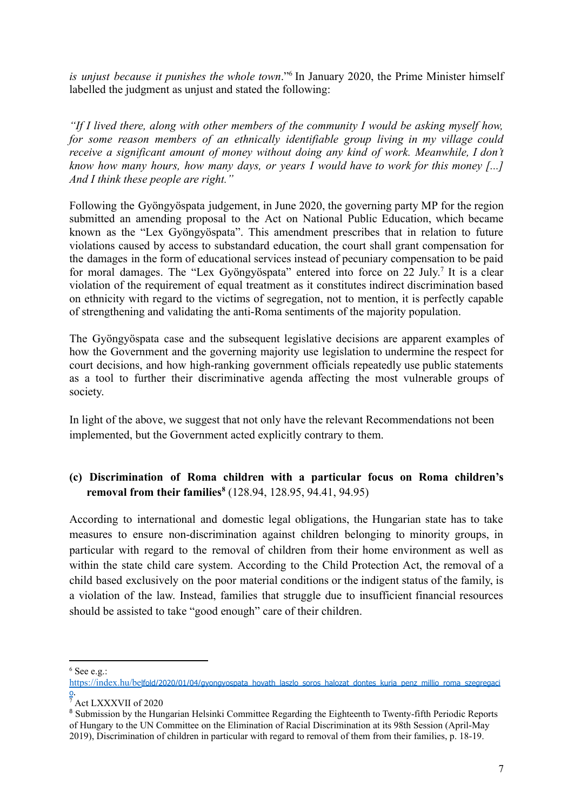*is unjust because it punishes the whole town*."<sup>6</sup> In January 2020, the Prime Minister himself labelled the judgment as unjust and stated the following:

*"If I lived there, along with other members of the community I would be asking myself how, for some reason members of an ethnically identifiable group living in my village could receive a significant amount of money without doing any kind of work. Meanwhile, I don't know how many hours, how many days, or years I would have to work for this money [...] And I think these people are right."*

Following the Gyöngyöspata judgement, in June 2020, the governing party MP for the region submitted an amending proposal to the Act on National Public Education, which became known as the "Lex Gyöngyöspata". This amendment prescribes that in relation to future violations caused by access to substandard education, the court shall grant compensation for the damages in the form of educational services instead of pecuniary compensation to be paid for moral damages. The "Lex Gyöngyöspata" entered into force on 22 July.<sup>7</sup> It is a clear violation of the requirement of equal treatment as it constitutes indirect discrimination based on ethnicity with regard to the victims of segregation, not to mention, it is perfectly capable of strengthening and validating the anti-Roma sentiments of the majority population.

The Gyöngyöspata case and the subsequent legislative decisions are apparent examples of how the Government and the governing majority use legislation to undermine the respect for court decisions, and how high-ranking government officials repeatedly use public statements as a tool to further their discriminative agenda affecting the most vulnerable groups of society.

In light of the above, we suggest that not only have the relevant Recommendations not been implemented, but the Government acted explicitly contrary to them.

## **(c) Discrimination of Roma children with a particular focus on Roma children's removal from their families<sup>8</sup>** (128.94, 128.95, 94.41, 94.95)

According to international and domestic legal obligations, the Hungarian state has to take measures to ensure non-discrimination against children belonging to minority groups, in particular with regard to the removal of children from their home environment as well as within the state child care system. According to the Child Protection Act, the removal of a child based exclusively on the poor material conditions or the indigent status of the family, is a violation of the law. Instead, families that struggle due to insufficient financial resources should be assisted to take "good enough" care of their children.

 $6$  See e.g.:

https://index.hu/be[lfold/2020/01/04/gyongyospata\\_hovath\\_laszlo\\_soros\\_halozat\\_dontes\\_kuria\\_penz\\_millio\\_roma\\_szegregaci](https://index.hu/belfold/2020/01/04/gyongyospata_hovath_laszlo_soros_halozat_dontes_kuria_penz_millio_roma_szegregacio) [o](https://index.hu/belfold/2020/01/04/gyongyospata_hovath_laszlo_soros_halozat_dontes_kuria_penz_millio_roma_szegregacio).

<sup>7</sup> Act LXXXVII of 2020

<sup>&</sup>lt;sup>8</sup> Submission by the Hungarian Helsinki Committee Regarding the Eighteenth to Twenty-fifth Periodic Reports of Hungary to the UN Committee on the Elimination of Racial Discrimination at its 98th Session (April-May 2019), Discrimination of children in particular with regard to removal of them from their families, p. 18-19.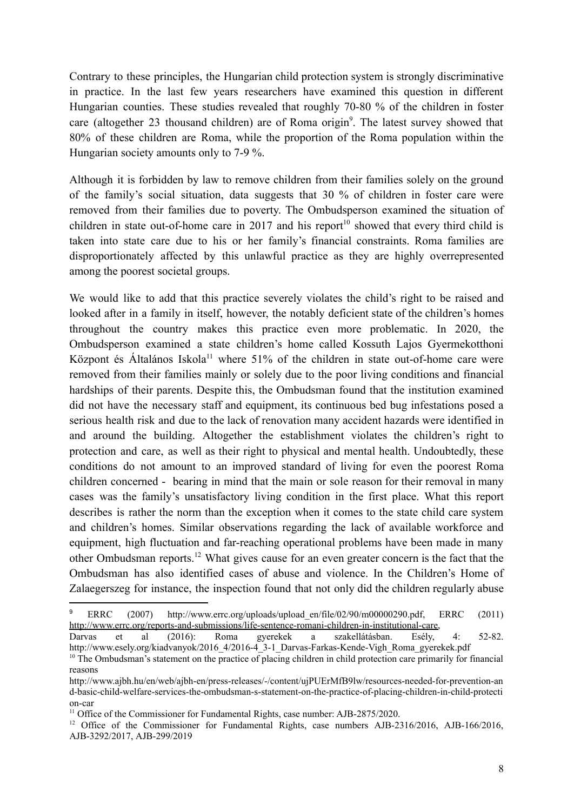Contrary to these principles, the Hungarian child protection system is strongly discriminative in practice. In the last few years researchers have examined this question in different Hungarian counties. These studies revealed that roughly 70-80 % of the children in foster care (altogether 23 thousand children) are of Roma origin<sup>9</sup>. The latest survey showed that 80% of these children are Roma, while the proportion of the Roma population within the Hungarian society amounts only to 7-9 %.

Although it is forbidden by law to remove children from their families solely on the ground of the family's social situation, data suggests that 30 % of children in foster care were removed from their families due to poverty. The Ombudsperson examined the situation of children in state out-of-home care in 2017 and his report<sup>10</sup> showed that every third child is taken into state care due to his or her family's financial constraints. Roma families are disproportionately affected by this unlawful practice as they are highly overrepresented among the poorest societal groups.

We would like to add that this practice severely violates the child's right to be raised and looked after in a family in itself, however, the notably deficient state of the children's homes throughout the country makes this practice even more problematic. In 2020, the Ombudsperson examined a state children's home called Kossuth Lajos Gyermekotthoni Központ és Általános Iskola<sup>11</sup> where 51% of the children in state out-of-home care were removed from their families mainly or solely due to the poor living conditions and financial hardships of their parents. Despite this, the Ombudsman found that the institution examined did not have the necessary staff and equipment, its continuous bed bug infestations posed a serious health risk and due to the lack of renovation many accident hazards were identified in and around the building. Altogether the establishment violates the children's right to protection and care, as well as their right to physical and mental health. Undoubtedly, these conditions do not amount to an improved standard of living for even the poorest Roma children concerned - bearing in mind that the main or sole reason for their removal in many cases was the family's unsatisfactory living condition in the first place. What this report describes is rather the norm than the exception when it comes to the state child care system and children's homes. Similar observations regarding the lack of available workforce and equipment, high fluctuation and far-reaching operational problems have been made in many other Ombudsman reports.<sup>12</sup> What gives cause for an even greater concern is the fact that the Ombudsman has also identified cases of abuse and violence. In the Children's Home of Zalaegerszeg for instance, the inspection found that not only did the children regularly abuse

<sup>&</sup>lt;sup>9</sup> ERRC (2007) http://www.errc.org/uploads/upload en/file/02/90/m00000290.pdf, ERRC (2011) [http://www.errc.org/reports-and-submissions/life-sentence-romani-children-in-institutional-care,](http://www.errc.org/reports-and-submissions/life-sentence-romani-children-in-institutional-care)<br>Darvas et al (2016): Roma gyerekek a szakellátásban. Esély,

Darvas et al (2016): Roma gyerekek a szakellátásban. Esély, 4: 52-82. http://www.esely.org/kiadvanyok/2016-4/2016-4\_3-1\_Darvas-Farkas-Kende-Vigh\_Roma\_gyerekek.pdf

<sup>&</sup>lt;sup>10</sup> The Ombudsman's statement on the practice of placing children in child protection care primarily for financial reasons

http://www.ajbh.hu/en/web/ajbh-en/press-releases/-/content/ujPUErMfB9lw/resources-needed-for-prevention-an d-basic-child-welfare-services-the-ombudsman-s-statement-on-the-practice-of-placing-children-in-child-protecti on-car

<sup>&</sup>lt;sup>11</sup> Office of the Commissioner for Fundamental Rights, case number: AJB-2875/2020.

<sup>&</sup>lt;sup>12</sup> Office of the Commissioner for Fundamental Rights, case numbers [AJB-2316/2016,](http://www.ajbh.hu/documents/10180/2500969/Jelent%C3%A9s+a+gyermekotthonok+m%C5%B1k%C3%B6d%C3%A9s%C3%A9t+%C3%A9rint%C5%91+panasz+%C3%BCgy%C3%A9ben+2316_2016/3e224781-c068-4127-b3fa-fcd411ad3ef0?version=1.0) [AJB-166/2016](http://www.ajbh.hu/documents/10180/2500969/Jelent%C3%A9s+egy+gyermekv%C3%A9delmi+%C3%BCgyben+166_2016/bc73808f-2029-4e80-a24c-4fc7d1d98357?version=1.0), [AJB-3292/2017,](http://www.ajbh.hu/documents/10180/2602747/Jelent%C3%A9s+egy+gyermekotthon+vezet%C5%91je+elleni+panasz+%C3%BCgy%C3%A9ben+3292_2017/f1fe65de-acc3-0c13-4903-8ac935f1d88d?version=1.0) [AJB-299/2019](http://www.ajbh.hu/documents/10180/2932608/Jelent%C3%A9s+a+zalaegerszegi+gyermekotthon+elleni+panasz+vizsg%C3%A1lat%C3%A1r%C3%B3l+299_2019/4a22c654-d202-149a-ad23-1fed93595d5c?version=1.0)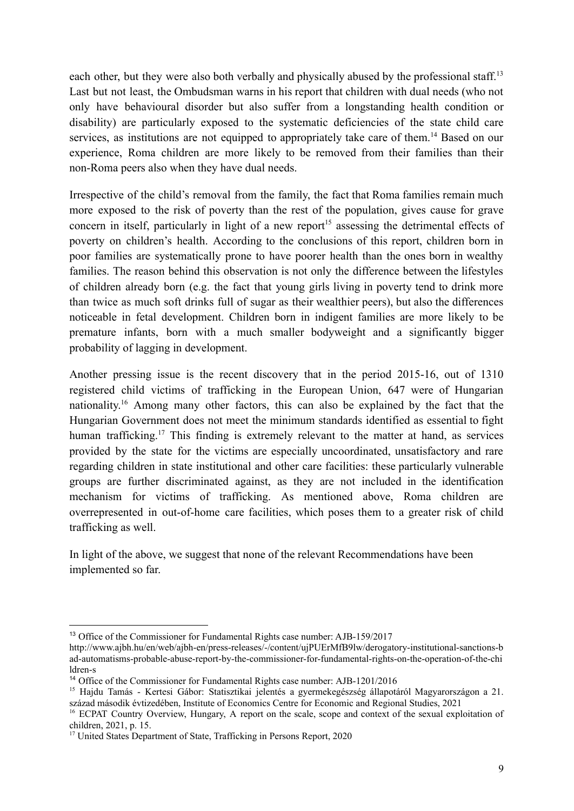each other, but they were also both verbally and physically abused by the professional staff.<sup>13</sup> Last but not least, the Ombudsman warns in his report that children with dual needs (who not only have behavioural disorder but also suffer from a longstanding health condition or disability) are particularly exposed to the systematic deficiencies of the state child care services, as institutions are not equipped to appropriately take care of them.<sup>14</sup> Based on our experience, Roma children are more likely to be removed from their families than their non-Roma peers also when they have dual needs.

Irrespective of the child's removal from the family, the fact that Roma families remain much more exposed to the risk of poverty than the rest of the population, gives cause for grave concern in itself, particularly in light of a new report<sup>15</sup> assessing the detrimental effects of poverty on children's health. According to the conclusions of this report, children born in poor families are systematically prone to have poorer health than the ones born in wealthy families. The reason behind this observation is not only the difference between the lifestyles of children already born (e.g. the fact that young girls living in poverty tend to drink more than twice as much soft drinks full of sugar as their wealthier peers), but also the differences noticeable in fetal development. Children born in indigent families are more likely to be premature infants, born with a much smaller bodyweight and a significantly bigger probability of lagging in development.

Another pressing issue is the recent discovery that in the period 2015-16, out of 1310 registered child victims of trafficking in the European Union, 647 were of Hungarian nationality. <sup>16</sup> Among many other factors, this can also be explained by the fact that the Hungarian Government does not meet the minimum standards identified as essential to fight human trafficking.<sup>17</sup> This finding is extremely relevant to the matter at hand, as services provided by the state for the victims are especially uncoordinated, unsatisfactory and rare regarding children in state institutional and other care facilities: these particularly vulnerable groups are further discriminated against, as they are not included in the identification mechanism for victims of trafficking. As mentioned above, Roma children are overrepresented in out-of-home care facilities, which poses them to a greater risk of child trafficking as well.

In light of the above, we suggest that none of the relevant Recommendations have been implemented so far.

<sup>13</sup> Office of the Commissioner for Fundamental Rights case number: A[JB-159/2017](http://www.ajbh.hu/documents/10180/2602747/Jelent%C3%A9s+a+Zalaegerszeg-botfai+Gyermekotthon+vizsg%C3%A1lat%C3%A1r%C3%B3l+159_2017/eff52397-1c41-49f4-9878-9d1e9349bf7e?version=1.0)

http://www.ajbh.hu/en/web/ajbh-en/press-releases/-/content/ujPUErMfB9lw/derogatory-institutional-sanctions-b ad-automatisms-probable-abuse-report-by-the-commissioner-for-fundamental-rights-on-the-operation-of-the-chi ldren-s

<sup>14</sup> Office of the Commissioner for Fundamental Rights case number: [AJB-1201/2016](http://www.ajbh.hu/documents/10180/2500969/Jelent%C3%A9s+a+gyermekv%C3%A9delmi+szakell%C3%A1t%C3%A1sban+%C3%A9l%C5%91+gyermekek+jogainak+%C3%A9rv%C3%A9nyes%C3%BCl%C3%A9s%C3%A9r%C5%91l+1201_2016/551a6767-befe-4763-b539-3af288d05009?version=1.0)

<sup>&</sup>lt;sup>15</sup> Haidu Tamás - Kertesi Gábor: Statisztikai jelentés a gyermekegészség állapotáról Magyarországon a 21. század második évtizedében, Institute of Economics Centre for Economic and Regional Studies, 2021

<sup>&</sup>lt;sup>16</sup> ECPAT Country Overview, Hungary, A report on the scale, scope and context of the sexual exploitation of children, 2021, p. 15.

<sup>&</sup>lt;sup>17</sup> United States Department of State, Trafficking in Persons Report, 2020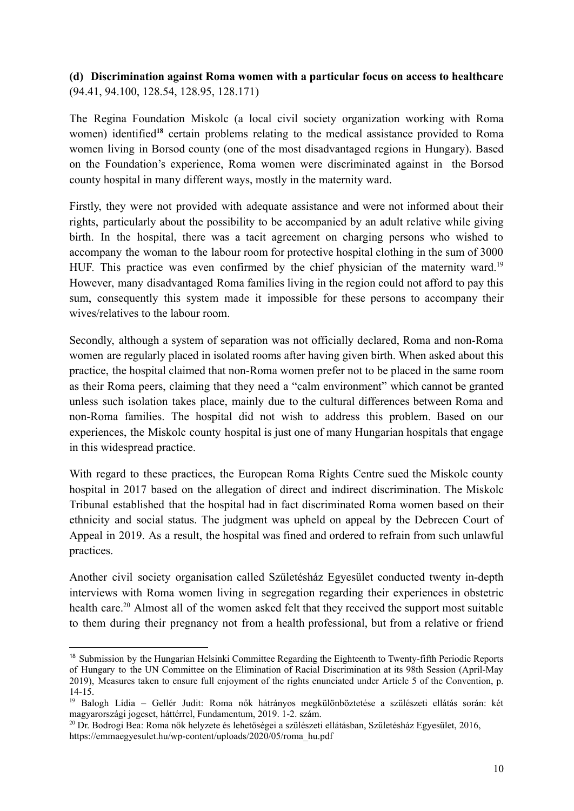### **(d) Discrimination against Roma women with a particular focus on access to healthcare** (94.41, 94.100, 128.54, 128.95, 128.171)

The Regina Foundation Miskolc (a local civil society organization working with Roma women) identified**<sup>18</sup>** certain problems relating to the medical assistance provided to Roma women living in Borsod county (one of the most disadvantaged regions in Hungary). Based on the Foundation's experience, Roma women were discriminated against in the Borsod county hospital in many different ways, mostly in the maternity ward.

Firstly, they were not provided with adequate assistance and were not informed about their rights, particularly about the possibility to be accompanied by an adult relative while giving birth. In the hospital, there was a tacit agreement on charging persons who wished to accompany the woman to the labour room for protective hospital clothing in the sum of 3000 HUF. This practice was even confirmed by the chief physician of the maternity ward.<sup>19</sup> However, many disadvantaged Roma families living in the region could not afford to pay this sum, consequently this system made it impossible for these persons to accompany their wives/relatives to the labour room.

Secondly, although a system of separation was not officially declared, Roma and non-Roma women are regularly placed in isolated rooms after having given birth. When asked about this practice, the hospital claimed that non-Roma women prefer not to be placed in the same room as their Roma peers, claiming that they need a "calm environment" which cannot be granted unless such isolation takes place, mainly due to the cultural differences between Roma and non-Roma families. The hospital did not wish to address this problem. Based on our experiences, the Miskolc county hospital is just one of many Hungarian hospitals that engage in this widespread practice.

With regard to these practices, the European Roma Rights Centre sued the Miskolc county hospital in 2017 based on the allegation of direct and indirect discrimination. The Miskolc Tribunal established that the hospital had in fact discriminated Roma women based on their ethnicity and social status. The judgment was upheld on appeal by the Debrecen Court of Appeal in 2019. As a result, the hospital was fined and ordered to refrain from such unlawful practices.

Another civil society organisation called Születésház Egyesület conducted twenty in-depth interviews with Roma women living in segregation regarding their experiences in obstetric health care.<sup>20</sup> Almost all of the women asked felt that they received the support most suitable to them during their pregnancy not from a health professional, but from a relative or friend

<sup>&</sup>lt;sup>18</sup> Submission by the Hungarian Helsinki Committee Regarding the Eighteenth to Twenty-fifth Periodic Reports of Hungary to the UN Committee on the Elimination of Racial Discrimination at its 98th Session (April-May 2019), Measures taken to ensure full enjoyment of the rights enunciated under Article 5 of the Convention, p. 14-15.

<sup>19</sup> Balogh Lídia – Gellér Judit: Roma nők hátrányos megkülönböztetése a szülészeti ellátás során: két magyarországi jogeset, háttérrel, Fundamentum, 2019. 1-2. szám.

<sup>20</sup> Dr. Bodrogi Bea: Roma nők helyzete és lehetőségei a szülészeti ellátásban, Születésház Egyesület, 2016, https://emmaegyesulet.hu/wp-content/uploads/2020/05/roma\_hu.pdf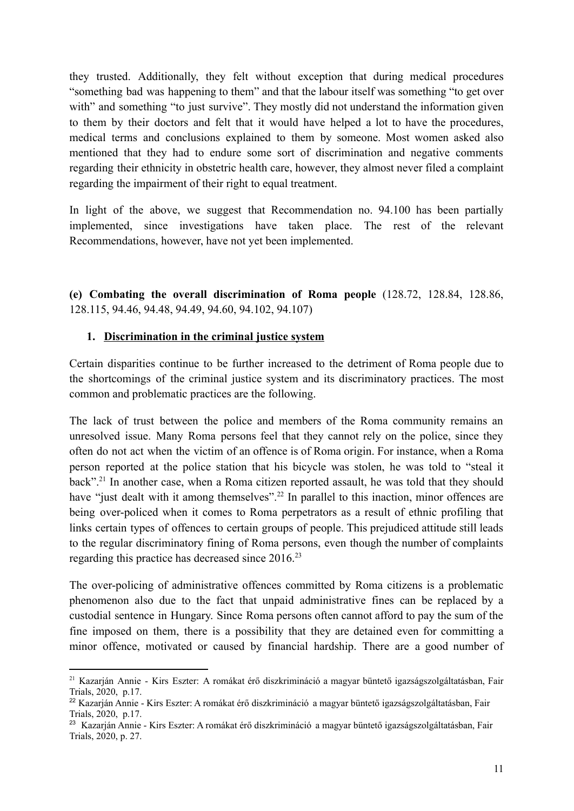they trusted. Additionally, they felt without exception that during medical procedures "something bad was happening to them" and that the labour itself was something "to get over with" and something "to just survive". They mostly did not understand the information given to them by their doctors and felt that it would have helped a lot to have the procedures, medical terms and conclusions explained to them by someone. Most women asked also mentioned that they had to endure some sort of discrimination and negative comments regarding their ethnicity in obstetric health care, however, they almost never filed a complaint regarding the impairment of their right to equal treatment.

In light of the above, we suggest that Recommendation no. 94.100 has been partially implemented, since investigations have taken place. The rest of the relevant Recommendations, however, have not yet been implemented.

**(e) Combating the overall discrimination of Roma people** (128.72, 128.84, 128.86, 128.115, 94.46, 94.48, 94.49, 94.60, 94.102, 94.107)

### **1. Discrimination in the criminal justice system**

Certain disparities continue to be further increased to the detriment of Roma people due to the shortcomings of the criminal justice system and its discriminatory practices. The most common and problematic practices are the following.

The lack of trust between the police and members of the Roma community remains an unresolved issue. Many Roma persons feel that they cannot rely on the police, since they often do not act when the victim of an offence is of Roma origin. For instance, when a Roma person reported at the police station that his bicycle was stolen, he was told to "steal it back".<sup>21</sup> In another case, when a Roma citizen reported assault, he was told that they should have "just dealt with it among themselves".<sup>22</sup> In parallel to this inaction, minor offences are being over-policed when it comes to Roma perpetrators as a result of ethnic profiling that links certain types of offences to certain groups of people. This prejudiced attitude still leads to the regular discriminatory fining of Roma persons, even though the number of complaints regarding this practice has decreased since 2016.<sup>23</sup>

The over-policing of administrative offences committed by Roma citizens is a problematic phenomenon also due to the fact that unpaid administrative fines can be replaced by a custodial sentence in Hungary. Since Roma persons often cannot afford to pay the sum of the fine imposed on them, there is a possibility that they are detained even for committing a minor offence, motivated or caused by financial hardship. There are a good number of

<sup>21</sup> Kazarján Annie - Kirs Eszter: A romákat érő diszkrimináció a magyar büntető igazságszolgáltatásban, Fair Trials, 2020, p.17.

<sup>22</sup> Kazarján Annie - Kirs Eszter: A romákat érő diszkrimináció a magyar büntető igazságszolgáltatásban, Fair Trials, 2020, p.17.

<sup>23</sup> Kazarján Annie - Kirs Eszter: A romákat érő diszkrimináció a magyar büntető igazságszolgáltatásban, Fair Trials, 2020, p. 27.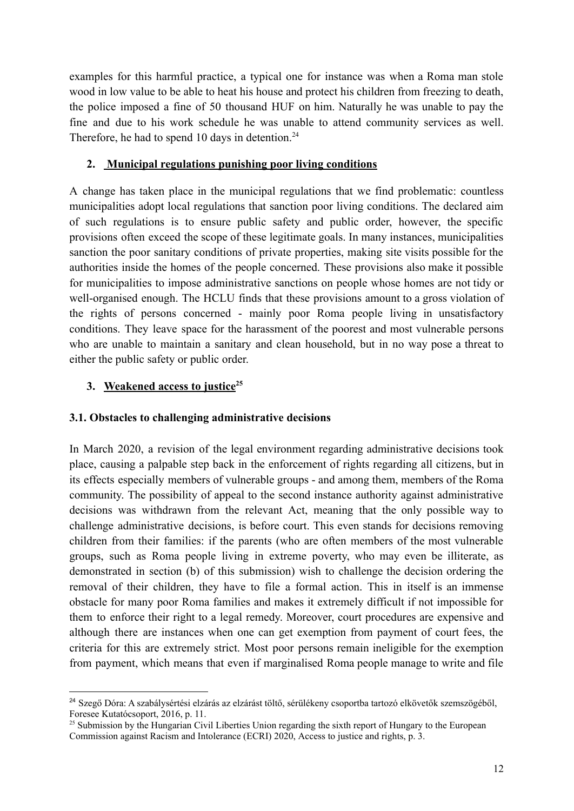examples for this harmful practice, a typical one for instance was when a Roma man stole wood in low value to be able to heat his house and protect his children from freezing to death, the police imposed a fine of 50 thousand HUF on him. Naturally he was unable to pay the fine and due to his work schedule he was unable to attend community services as well. Therefore, he had to spend 10 days in detention.<sup>24</sup>

### **2. Municipal regulations punishing poor living conditions**

A change has taken place in the municipal regulations that we find problematic: countless municipalities adopt local regulations that sanction poor living conditions. The declared aim of such regulations is to ensure public safety and public order, however, the specific provisions often exceed the scope of these legitimate goals. In many instances, municipalities sanction the poor sanitary conditions of private properties, making site visits possible for the authorities inside the homes of the people concerned. These provisions also make it possible for municipalities to impose administrative sanctions on people whose homes are not tidy or well-organised enough. The HCLU finds that these provisions amount to a gross violation of the rights of persons concerned - mainly poor Roma people living in unsatisfactory conditions. They leave space for the harassment of the poorest and most vulnerable persons who are unable to maintain a sanitary and clean household, but in no way pose a threat to either the public safety or public order.

## **3. Weakened access to justice<sup>25</sup>**

## **3.1. Obstacles to challenging administrative decisions**

In March 2020, a revision of the legal environment regarding administrative decisions took place, causing a palpable step back in the enforcement of rights regarding all citizens, but in its effects especially members of vulnerable groups - and among them, members of the Roma community. The possibility of appeal to the second instance authority against administrative decisions was withdrawn from the relevant Act, meaning that the only possible way to challenge administrative decisions, is before court. This even stands for decisions removing children from their families: if the parents (who are often members of the most vulnerable groups, such as Roma people living in extreme poverty, who may even be illiterate, as demonstrated in section (b) of this submission) wish to challenge the decision ordering the removal of their children, they have to file a formal action. This in itself is an immense obstacle for many poor Roma families and makes it extremely difficult if not impossible for them to enforce their right to a legal remedy. Moreover, court procedures are expensive and although there are instances when one can get exemption from payment of court fees, the criteria for this are extremely strict. Most poor persons remain ineligible for the exemption from payment, which means that even if marginalised Roma people manage to write and file

<sup>24</sup> Szegő Dóra: A szabálysértési elzárás az elzárást töltő, sérülékeny csoportba tartozó elkövetők szemszögéből, Foresee Kutatócsoport, 2016, p. 11.

<sup>&</sup>lt;sup>25</sup> Submission by the Hungarian Civil Liberties Union regarding the sixth report of Hungary to the European Commission against Racism and Intolerance (ECRI) 2020, Access to justice and rights, p. 3.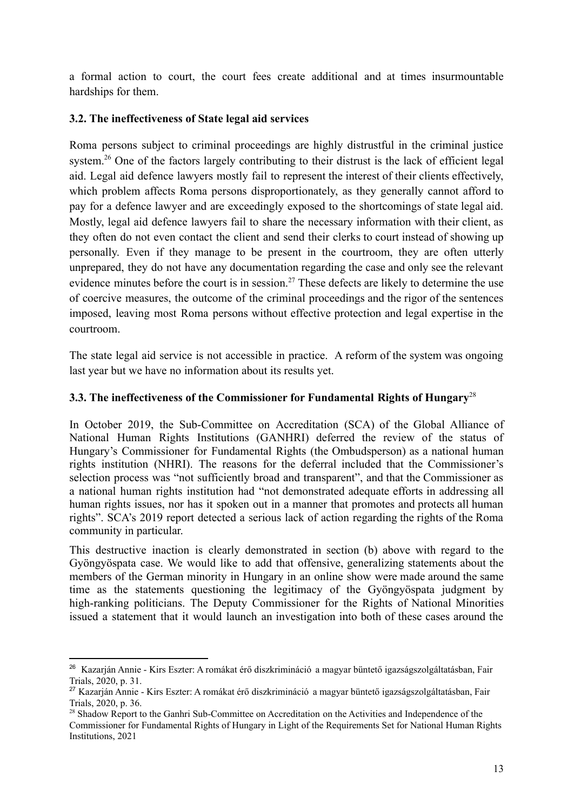a formal action to court, the court fees create additional and at times insurmountable hardships for them.

### **3.2. The ineffectiveness of State legal aid services**

Roma persons subject to criminal proceedings are highly distrustful in the criminal justice system.<sup>26</sup> One of the factors largely contributing to their distrust is the lack of efficient legal aid. Legal aid defence lawyers mostly fail to represent the interest of their clients effectively, which problem affects Roma persons disproportionately, as they generally cannot afford to pay for a defence lawyer and are exceedingly exposed to the shortcomings of state legal aid. Mostly, legal aid defence lawyers fail to share the necessary information with their client, as they often do not even contact the client and send their clerks to court instead of showing up personally. Even if they manage to be present in the courtroom, they are often utterly unprepared, they do not have any documentation regarding the case and only see the relevant evidence minutes before the court is in session.<sup>27</sup> These defects are likely to determine the use of coercive measures, the outcome of the criminal proceedings and the rigor of the sentences imposed, leaving most Roma persons without effective protection and legal expertise in the courtroom.

The state legal aid service is not accessible in practice. A reform of the system was ongoing last year but we have no information about its results yet.

### **3.3. The ineffectiveness of the Commissioner for Fundamental Rights of Hungary**<sup>28</sup>

In October 2019, the Sub-Committee on Accreditation (SCA) of the Global Alliance of National Human Rights Institutions (GANHRI) deferred the review of the status of Hungary's Commissioner for Fundamental Rights (the Ombudsperson) as a national human rights institution (NHRI). The reasons for the deferral included that the Commissioner's selection process was "not sufficiently broad and transparent", and that the Commissioner as a national human rights institution had "not demonstrated adequate efforts in addressing all human rights issues, nor has it spoken out in a manner that promotes and protects all human rights". SCA's 2019 report detected a serious lack of action regarding the rights of the Roma community in particular.

This destructive inaction is clearly demonstrated in section (b) above with regard to the Gyöngyöspata case. We would like to add that offensive, generalizing statements about the members of the German minority in Hungary in an online show were made around the same time as the statements questioning the legitimacy of the Gyöngyöspata judgment by high-ranking politicians. The Deputy Commissioner for the Rights of National Minorities issued a statement that it would launch an investigation into both of these cases around the

<sup>26</sup> Kazarján Annie - Kirs Eszter: A romákat érő diszkrimináció a magyar büntető igazságszolgáltatásban, Fair Trials, 2020, p. 31.

<sup>27</sup> Kazarján Annie - Kirs Eszter: A romákat érő diszkrimináció a magyar büntető igazságszolgáltatásban, Fair Trials, 2020, p. 36.

<sup>&</sup>lt;sup>28</sup> Shadow Report to the Ganhri Sub-Committee on Accreditation on the Activities and Independence of the Commissioner for Fundamental Rights of Hungary in Light of the Requirements Set for National Human Rights Institutions, 2021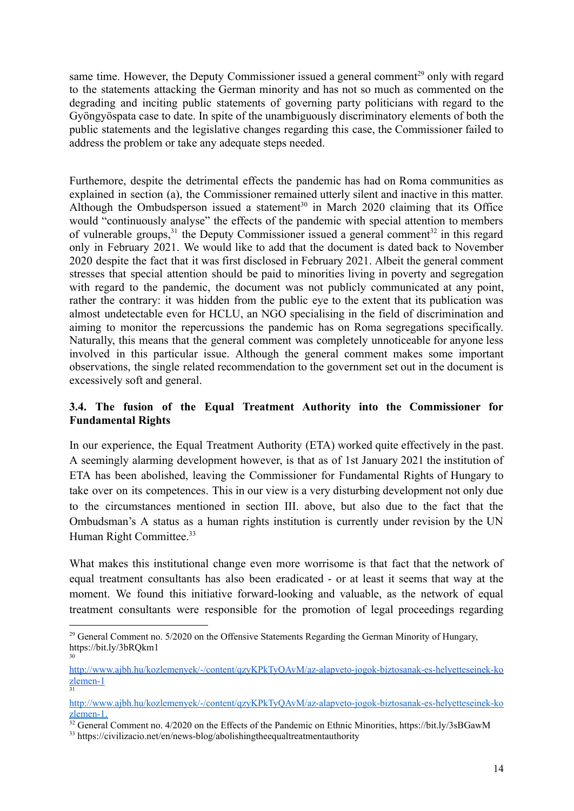same time. However, the Deputy Commissioner issued a general comment<sup>29</sup> only with regard to the statements attacking the German minority and has not so much as commented on the degrading and inciting public statements of governing party politicians with regard to the Gyöngyöspata case to date. In spite of the unambiguously discriminatory elements of both the public statements and the legislative changes regarding this case, the Commissioner failed to address the problem or take any adequate steps needed.

Furthemore, despite the detrimental effects the pandemic has had on Roma communities as explained in section (a), the Commissioner remained utterly silent and inactive in this matter. Although the Ombudsperson issued a statement<sup>30</sup> in March 2020 claiming that its Office would "continuously analyse" the effects of the pandemic with special attention to members of vulnerable groups,<sup>31</sup> the Deputy Commissioner issued a general comment<sup>32</sup> in this regard only in February 2021. We would like to add that the document is dated back to November 2020 despite the fact that it was first disclosed in February 2021. Albeit the general comment stresses that special attention should be paid to minorities living in poverty and segregation with regard to the pandemic, the document was not publicly communicated at any point, rather the contrary: it was hidden from the public eye to the extent that its publication was almost undetectable even for HCLU, an NGO specialising in the field of discrimination and aiming to monitor the repercussions the pandemic has on Roma segregations specifically. Naturally, this means that the general comment was completely unnoticeable for anyone less involved in this particular issue. Although the general comment makes some important observations, the single related recommendation to the government set out in the document is excessively soft and general.

### **3.4. The fusion of the Equal Treatment Authority into the Commissioner for Fundamental Rights**

In our experience, the Equal Treatment Authority (ETA) worked quite effectively in the past. A seemingly alarming development however, is that as of 1st January 2021 the institution of ETA has been abolished, leaving the Commissioner for Fundamental Rights of Hungary to take over on its competences. This in our view is a very disturbing development not only due to the circumstances mentioned in section III. above, but also due to the fact that the Ombudsman's A status as a human rights institution is currently under revision by the UN Human Right Committee.<sup>33</sup>

What makes this institutional change even more worrisome is that fact that the network of equal treatment consultants has also been eradicated - or at least it seems that way at the moment. We found this initiative forward-looking and valuable, as the network of equal treatment consultants were responsible for the promotion of legal proceedings regarding

<sup>30</sup> <sup>29</sup> General Comment no. 5/2020 on the Offensive Statements Regarding the German Minority of Hungary, https://bit.ly/3bRQkm1

<sup>31</sup> [http://www.ajbh.hu/kozlemenyek/-/content/qzyKPkTyQAvM/az-alapveto-jogok-biztosanak-es-helyetteseinek-ko](http://www.ajbh.hu/kozlemenyek/-/content/qzyKPkTyQAvM/az-alapveto-jogok-biztosanak-es-helyetteseinek-kozlemen-1) [zlemen-1](http://www.ajbh.hu/kozlemenyek/-/content/qzyKPkTyQAvM/az-alapveto-jogok-biztosanak-es-helyetteseinek-kozlemen-1)

[http://www.ajbh.hu/kozlemenyek/-/content/qzyKPkTyQAvM/az-alapveto-jogok-biztosanak-es-helyetteseinek-ko](http://www.ajbh.hu/kozlemenyek/-/content/qzyKPkTyQAvM/az-alapveto-jogok-biztosanak-es-helyetteseinek-kozlemen-1) [zlemen-1](http://www.ajbh.hu/kozlemenyek/-/content/qzyKPkTyQAvM/az-alapveto-jogok-biztosanak-es-helyetteseinek-kozlemen-1).

<sup>&</sup>lt;sup>32</sup> General Comment no. 4/2020 on the Effects of the Pandemic on Ethnic Minorities, https://bit.ly/3sBGawM

<sup>33</sup> https://civilizacio.net/en/news-blog/abolishingtheequaltreatmentauthority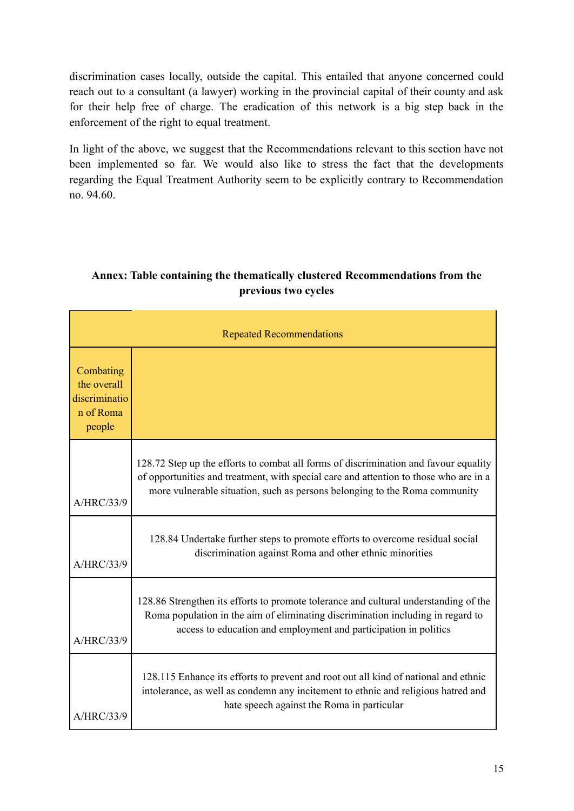discrimination cases locally, outside the capital. This entailed that anyone concerned could reach out to a consultant (a lawyer) working in the provincial capital of their county and ask for their help free of charge. The eradication of this network is a big step back in the enforcement of the right to equal treatment.

In light of the above, we suggest that the Recommendations relevant to this section have not been implemented so far. We would also like to stress the fact that the developments regarding the Equal Treatment Authority seem to be explicitly contrary to Recommendation no. 94.60.

## **Annex: Table containing the thematically clustered Recommendations from the previous two cycles**

| <b>Repeated Recommendations</b>                                  |                                                                                                                                                                                                                                                             |  |
|------------------------------------------------------------------|-------------------------------------------------------------------------------------------------------------------------------------------------------------------------------------------------------------------------------------------------------------|--|
| Combating<br>the overall<br>discriminatio<br>n of Roma<br>people |                                                                                                                                                                                                                                                             |  |
| A/HRC/33/9                                                       | 128.72 Step up the efforts to combat all forms of discrimination and favour equality<br>of opportunities and treatment, with special care and attention to those who are in a<br>more vulnerable situation, such as persons belonging to the Roma community |  |
| A/HRC/33/9                                                       | 128.84 Undertake further steps to promote efforts to overcome residual social<br>discrimination against Roma and other ethnic minorities                                                                                                                    |  |
| A/HRC/33/9                                                       | 128.86 Strengthen its efforts to promote tolerance and cultural understanding of the<br>Roma population in the aim of eliminating discrimination including in regard to<br>access to education and employment and participation in politics                 |  |
| A/HRC/33/9                                                       | 128.115 Enhance its efforts to prevent and root out all kind of national and ethnic<br>intolerance, as well as condemn any incitement to ethnic and religious hatred and<br>hate speech against the Roma in particular                                      |  |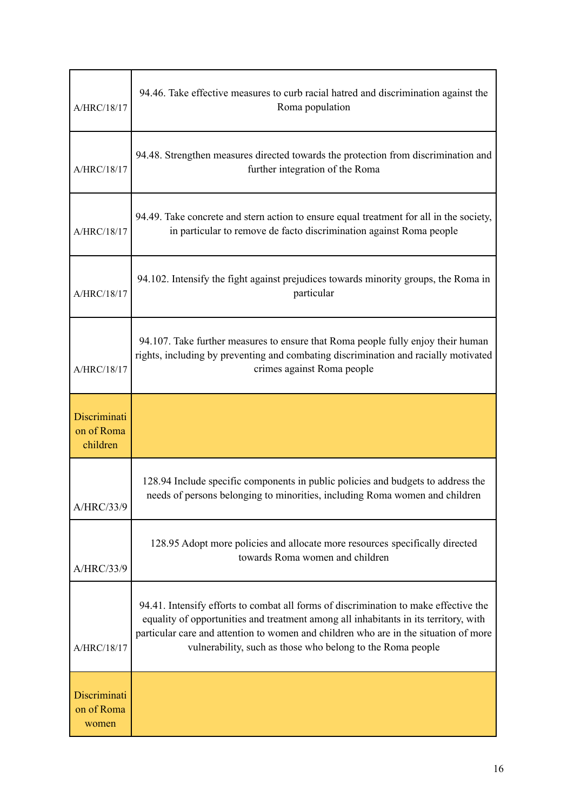| A/HRC/18/17                            | 94.46. Take effective measures to curb racial hatred and discrimination against the<br>Roma population                                                                                                                                                                                                                             |
|----------------------------------------|------------------------------------------------------------------------------------------------------------------------------------------------------------------------------------------------------------------------------------------------------------------------------------------------------------------------------------|
| A/HRC/18/17                            | 94.48. Strengthen measures directed towards the protection from discrimination and<br>further integration of the Roma                                                                                                                                                                                                              |
| A/HRC/18/17                            | 94.49. Take concrete and stern action to ensure equal treatment for all in the society,<br>in particular to remove de facto discrimination against Roma people                                                                                                                                                                     |
| A/HRC/18/17                            | 94.102. Intensify the fight against prejudices towards minority groups, the Roma in<br>particular                                                                                                                                                                                                                                  |
| A/HRC/18/17                            | 94.107. Take further measures to ensure that Roma people fully enjoy their human<br>rights, including by preventing and combating discrimination and racially motivated<br>crimes against Roma people                                                                                                                              |
| Discriminati<br>on of Roma<br>children |                                                                                                                                                                                                                                                                                                                                    |
| A/HRC/33/9                             | 128.94 Include specific components in public policies and budgets to address the<br>needs of persons belonging to minorities, including Roma women and children                                                                                                                                                                    |
| A/HRC/33/9                             | 128.95 Adopt more policies and allocate more resources specifically directed<br>towards Roma women and children                                                                                                                                                                                                                    |
| A/HRC/18/17                            | 94.41. Intensify efforts to combat all forms of discrimination to make effective the<br>equality of opportunities and treatment among all inhabitants in its territory, with<br>particular care and attention to women and children who are in the situation of more<br>vulnerability, such as those who belong to the Roma people |
| Discriminati<br>on of Roma<br>women    |                                                                                                                                                                                                                                                                                                                                    |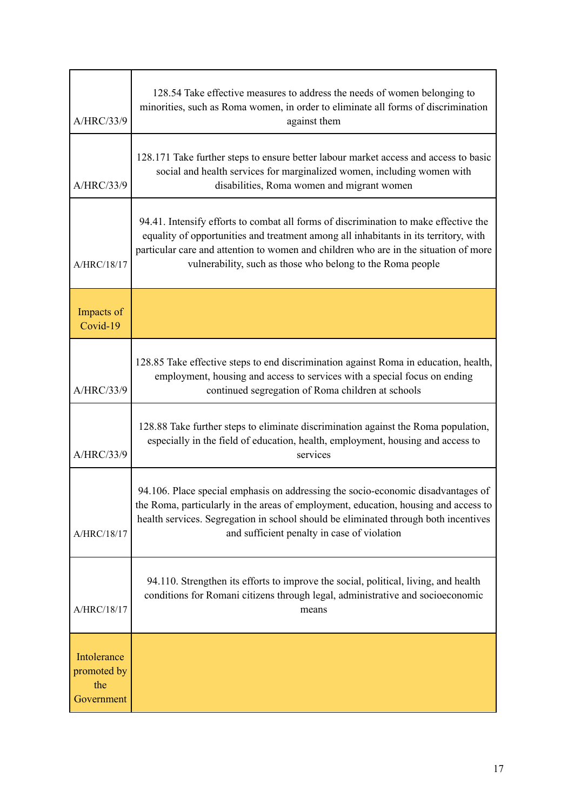| A/HRC/33/9                                      | 128.54 Take effective measures to address the needs of women belonging to<br>minorities, such as Roma women, in order to eliminate all forms of discrimination<br>against them                                                                                                                                                     |
|-------------------------------------------------|------------------------------------------------------------------------------------------------------------------------------------------------------------------------------------------------------------------------------------------------------------------------------------------------------------------------------------|
| A/HRC/33/9                                      | 128.171 Take further steps to ensure better labour market access and access to basic<br>social and health services for marginalized women, including women with<br>disabilities, Roma women and migrant women                                                                                                                      |
| A/HRC/18/17                                     | 94.41. Intensify efforts to combat all forms of discrimination to make effective the<br>equality of opportunities and treatment among all inhabitants in its territory, with<br>particular care and attention to women and children who are in the situation of more<br>vulnerability, such as those who belong to the Roma people |
| Impacts of<br>Covid-19                          |                                                                                                                                                                                                                                                                                                                                    |
| A/HRC/33/9                                      | 128.85 Take effective steps to end discrimination against Roma in education, health,<br>employment, housing and access to services with a special focus on ending<br>continued segregation of Roma children at schools                                                                                                             |
| A/HRC/33/9                                      | 128.88 Take further steps to eliminate discrimination against the Roma population,<br>especially in the field of education, health, employment, housing and access to<br>services                                                                                                                                                  |
| A/HRC/18/17                                     | 94.106. Place special emphasis on addressing the socio-economic disadvantages of<br>the Roma, particularly in the areas of employment, education, housing and access to<br>health services. Segregation in school should be eliminated through both incentives<br>and sufficient penalty in case of violation                      |
| A/HRC/18/17                                     | 94.110. Strengthen its efforts to improve the social, political, living, and health<br>conditions for Romani citizens through legal, administrative and socioeconomic<br>means                                                                                                                                                     |
| Intolerance<br>promoted by<br>the<br>Government |                                                                                                                                                                                                                                                                                                                                    |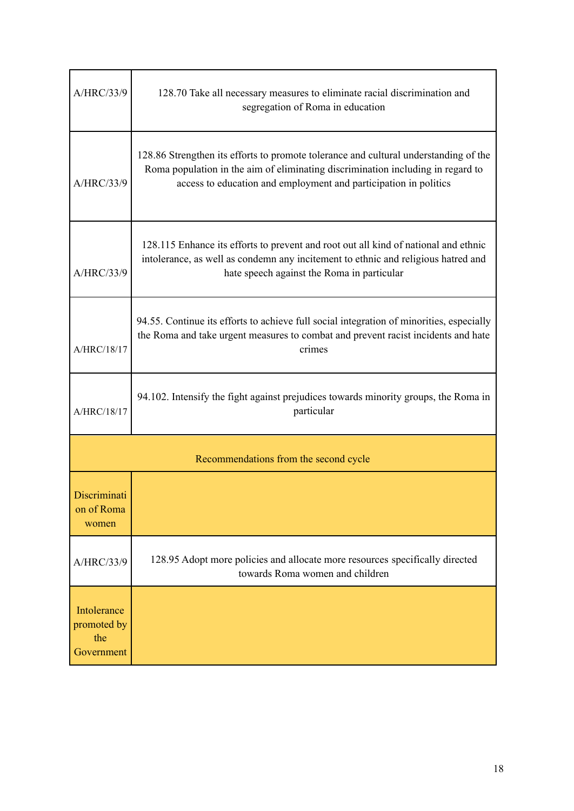| A/HRC/33/9                                      | 128.70 Take all necessary measures to eliminate racial discrimination and<br>segregation of Roma in education                                                                                                                               |  |
|-------------------------------------------------|---------------------------------------------------------------------------------------------------------------------------------------------------------------------------------------------------------------------------------------------|--|
| A/HRC/33/9                                      | 128.86 Strengthen its efforts to promote tolerance and cultural understanding of the<br>Roma population in the aim of eliminating discrimination including in regard to<br>access to education and employment and participation in politics |  |
| A/HRC/33/9                                      | 128.115 Enhance its efforts to prevent and root out all kind of national and ethnic<br>intolerance, as well as condemn any incitement to ethnic and religious hatred and<br>hate speech against the Roma in particular                      |  |
| A/HRC/18/17                                     | 94.55. Continue its efforts to achieve full social integration of minorities, especially<br>the Roma and take urgent measures to combat and prevent racist incidents and hate<br>crimes                                                     |  |
| A/HRC/18/17                                     | 94.102. Intensify the fight against prejudices towards minority groups, the Roma in<br>particular                                                                                                                                           |  |
| Recommendations from the second cycle           |                                                                                                                                                                                                                                             |  |
| Discriminati<br>on of Roma<br>women             |                                                                                                                                                                                                                                             |  |
| A/HRC/33/9                                      | 128.95 Adopt more policies and allocate more resources specifically directed<br>towards Roma women and children                                                                                                                             |  |
| Intolerance<br>promoted by<br>the<br>Government |                                                                                                                                                                                                                                             |  |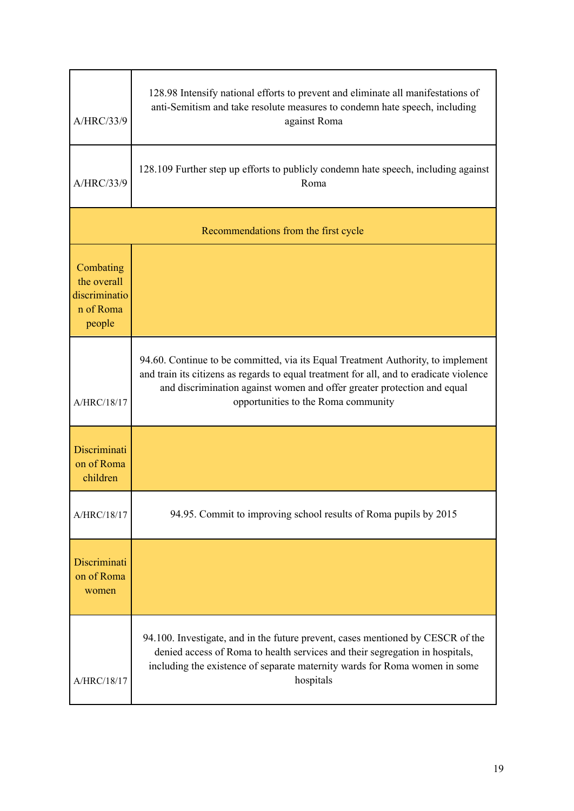| A/HRC/33/9                                                       | 128.98 Intensify national efforts to prevent and eliminate all manifestations of<br>anti-Semitism and take resolute measures to condemn hate speech, including<br>against Roma                                                                                                                |  |
|------------------------------------------------------------------|-----------------------------------------------------------------------------------------------------------------------------------------------------------------------------------------------------------------------------------------------------------------------------------------------|--|
| A/HRC/33/9                                                       | 128.109 Further step up efforts to publicly condemn hate speech, including against<br>Roma                                                                                                                                                                                                    |  |
| Recommendations from the first cycle                             |                                                                                                                                                                                                                                                                                               |  |
| Combating<br>the overall<br>discriminatio<br>n of Roma<br>people |                                                                                                                                                                                                                                                                                               |  |
| A/HRC/18/17                                                      | 94.60. Continue to be committed, via its Equal Treatment Authority, to implement<br>and train its citizens as regards to equal treatment for all, and to eradicate violence<br>and discrimination against women and offer greater protection and equal<br>opportunities to the Roma community |  |
| Discriminati<br>on of Roma<br>children                           |                                                                                                                                                                                                                                                                                               |  |
| A/HRC/18/17                                                      | 94.95. Commit to improving school results of Roma pupils by 2015                                                                                                                                                                                                                              |  |
| Discriminati<br>on of Roma<br>women                              |                                                                                                                                                                                                                                                                                               |  |
| A/HRC/18/17                                                      | 94.100. Investigate, and in the future prevent, cases mentioned by CESCR of the<br>denied access of Roma to health services and their segregation in hospitals,<br>including the existence of separate maternity wards for Roma women in some<br>hospitals                                    |  |